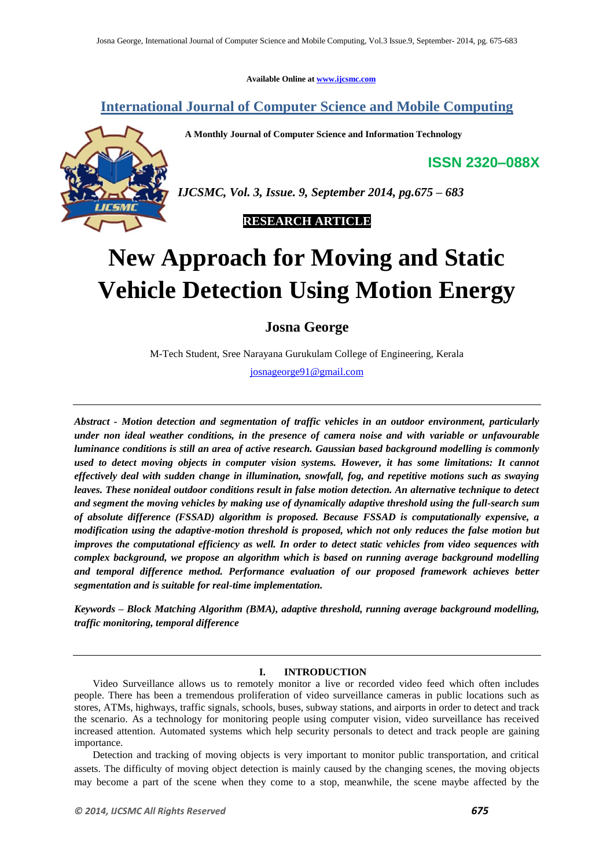**Available Online at www.ijcsmc.com**

**International Journal of Computer Science and Mobile Computing**

 **A Monthly Journal of Computer Science and Information Technology**

**ISSN 2320–088X**



*IJCSMC, Vol. 3, Issue. 9, September 2014, pg.675 – 683*



# **New Approach for Moving and Static Vehicle Detection Using Motion Energy**

**Josna George**

M-Tech Student, Sree Narayana Gurukulam College of Engineering, Kerala

josnageorge91@gmail.com

*Abstract - Motion detection and segmentation of traffic vehicles in an outdoor environment, particularly under non ideal weather conditions, in the presence of camera noise and with variable or unfavourable luminance conditions is still an area of active research. Gaussian based background modelling is commonly used to detect moving objects in computer vision systems. However, it has some limitations: It cannot effectively deal with sudden change in illumination, snowfall, fog, and repetitive motions such as swaying leaves. These nonideal outdoor conditions result in false motion detection. An alternative technique to detect and segment the moving vehicles by making use of dynamically adaptive threshold using the full-search sum of absolute difference (FSSAD) algorithm is proposed. Because FSSAD is computationally expensive, a modification using the adaptive-motion threshold is proposed, which not only reduces the false motion but improves the computational efficiency as well. In order to detect static vehicles from video sequences with complex background, we propose an algorithm which is based on running average background modelling and temporal difference method. Performance evaluation of our proposed framework achieves better segmentation and is suitable for real-time implementation.*

*Keywords – Block Matching Algorithm (BMA), adaptive threshold, running average background modelling, traffic monitoring, temporal difference*

# **I. INTRODUCTION**

Video Surveillance allows us to remotely monitor a live or recorded video feed which often includes people. There has been a tremendous proliferation of video surveillance cameras in public locations such as stores, ATMs, highways, traffic signals, schools, buses, subway stations, and airports in order to detect and track the scenario. As a technology for monitoring people using computer vision, video surveillance has received increased attention. Automated systems which help security personals to detect and track people are gaining importance.

Detection and tracking of moving objects is very important to monitor public transportation, and critical assets. The difficulty of moving object detection is mainly caused by the changing scenes, the moving objects may become a part of the scene when they come to a stop, meanwhile, the scene maybe affected by the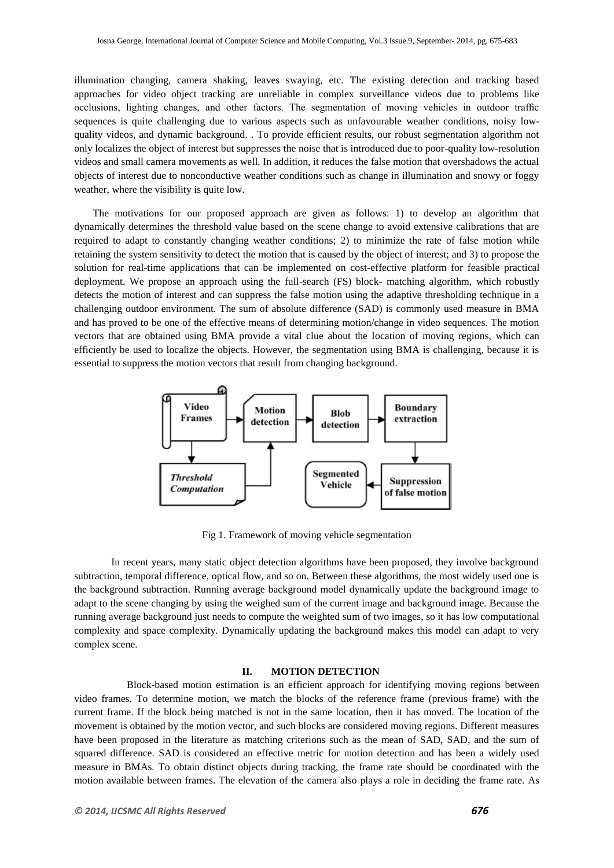illumination changing, camera shaking, leaves swaying, etc. The existing detection and tracking based approaches for video object tracking are unreliable in complex surveillance videos due to problems like occlusions, lighting changes, and other factors. The segmentation of moving vehicles in outdoor traffic sequences is quite challenging due to various aspects such as unfavourable weather conditions, noisy lowquality videos, and dynamic background. . To provide efficient results, our robust segmentation algorithm not only localizes the object of interest but suppresses the noise that is introduced due to poor-quality low-resolution videos and small camera movements as well. In addition, it reduces the false motion that overshadows the actual objects of interest due to nonconductive weather conditions such as change in illumination and snowy or foggy weather, where the visibility is quite low.

The motivations for our proposed approach are given as follows: 1) to develop an algorithm that dynamically determines the threshold value based on the scene change to avoid extensive calibrations that are required to adapt to constantly changing weather conditions; 2) to minimize the rate of false motion while retaining the system sensitivity to detect the motion that is caused by the object of interest; and 3) to propose the solution for real-time applications that can be implemented on cost-effective platform for feasible practical deployment. We propose an approach using the full-search (FS) block- matching algorithm, which robustly detects the motion of interest and can suppress the false motion using the adaptive thresholding technique in a challenging outdoor environment. The sum of absolute difference (SAD) is commonly used measure in BMA and has proved to be one of the effective means of determining motion/change in video sequences. The motion vectors that are obtained using BMA provide a vital clue about the location of moving regions, which can efficiently be used to localize the objects. However, the segmentation using BMA is challenging, because it is essential to suppress the motion vectors that result from changing background.



Fig 1. Framework of moving vehicle segmentation

In recent years, many static object detection algorithms have been proposed, they involve background subtraction, temporal difference, optical flow, and so on. Between these algorithms, the most widely used one is the background subtraction. Running average background model dynamically update the background image to adapt to the scene changing by using the weighed sum of the current image and background image. Because the running average background just needs to compute the weighted sum of two images, so it has low computational complexity and space complexity. Dynamically updating the background makes this model can adapt to very complex scene.

#### **II. MOTION DETECTION**

 Block-based motion estimation is an efficient approach for identifying moving regions between video frames. To determine motion, we match the blocks of the reference frame (previous frame) with the current frame. If the block being matched is not in the same location, then it has moved. The location of the movement is obtained by the motion vector, and such blocks are considered moving regions. Different measures have been proposed in the literature as matching criterions such as the mean of SAD, SAD, and the sum of squared difference. SAD is considered an effective metric for motion detection and has been a widely used measure in BMAs. To obtain distinct objects during tracking, the frame rate should be coordinated with the motion available between frames. The elevation of the camera also plays a role in deciding the frame rate. As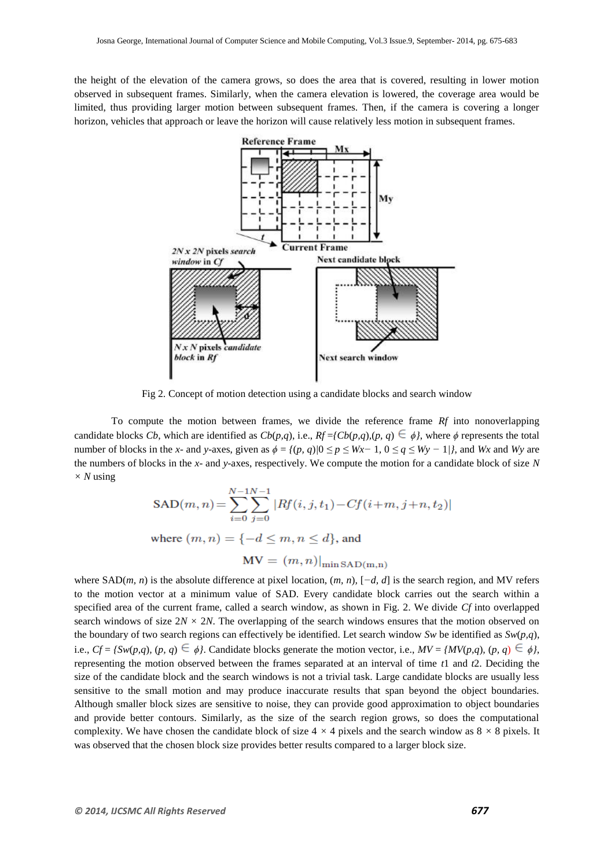the height of the elevation of the camera grows, so does the area that is covered, resulting in lower motion observed in subsequent frames. Similarly, when the camera elevation is lowered, the coverage area would be limited, thus providing larger motion between subsequent frames. Then, if the camera is covering a longer horizon, vehicles that approach or leave the horizon will cause relatively less motion in subsequent frames.



Fig 2. Concept of motion detection using a candidate blocks and search window

To compute the motion between frames, we divide the reference frame *Rf* into nonoverlapping candidate blocks *Cb*, which are identified as  $Cb(p,q)$ , i.e.,  $Rf = \{Cb(p,q),(p,q) \in \phi\}$ , where  $\phi$  represents the total number of blocks in the *x*- and *y*-axes, given as  $\phi = \{(p, q)|0 \le p \le Wx - 1, 0 \le q \le Wy - 1/\}$ , and *Wx* and *Wy* are the numbers of blocks in the *x*- and *y*-axes, respectively. We compute the motion for a candidate block of size *N*   $\times$  *N* using

$$
SAD(m, n) = \sum_{i=0}^{N-1} \sum_{j=0}^{N-1} |Rf(i, j, t_1) - Cf(i+m, j+n, t_2)|
$$
  
where  $(m, n) = \{-d \le m, n \le d\}$ , and

 $MV = (m, n)|_{min SAD(m,n)}$ 

where SAD(*m, n*) is the absolute difference at pixel location, (*m, n*)*,* [*−d, d*] is the search region, and MV refers to the motion vector at a minimum value of SAD. Every candidate block carries out the search within a specified area of the current frame, called a search window, as shown in Fig. 2. We divide *Cf* into overlapped search windows of size  $2N \times 2N$ . The overlapping of the search windows ensures that the motion observed on the boundary of two search regions can effectively be identified. Let search window *Sw* be identified as *Sw*(*p,q*), i.e.,  $Cf = \{Sw(p,q), (p, q) \in \phi\}$ . Candidate blocks generate the motion vector, i.e.,  $MV = \{MV(p,q), (p, q) \in \phi\}$ , representing the motion observed between the frames separated at an interval of time *t*1 and *t*2. Deciding the size of the candidate block and the search windows is not a trivial task. Large candidate blocks are usually less sensitive to the small motion and may produce inaccurate results that span beyond the object boundaries. Although smaller block sizes are sensitive to noise, they can provide good approximation to object boundaries and provide better contours. Similarly, as the size of the search region grows, so does the computational complexity. We have chosen the candidate block of size  $4 \times 4$  pixels and the search window as  $8 \times 8$  pixels. It was observed that the chosen block size provides better results compared to a larger block size.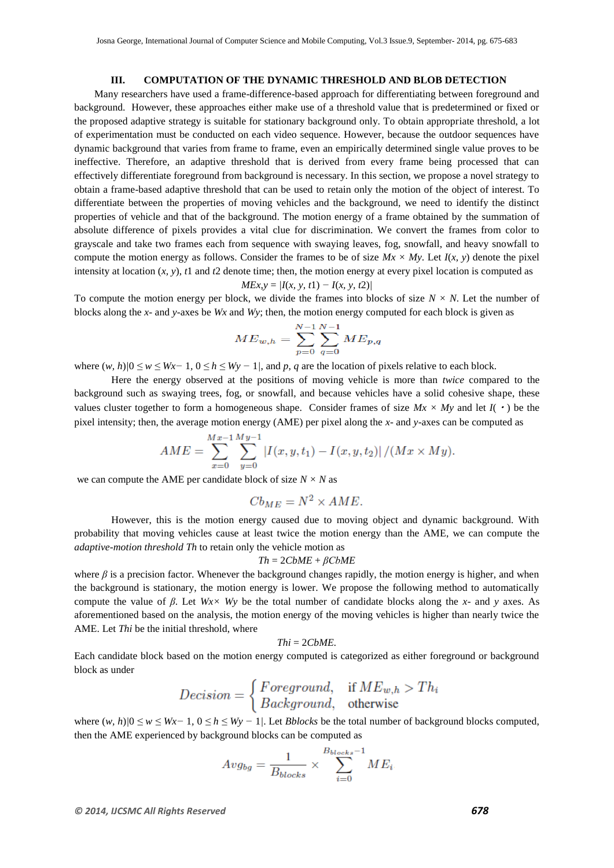# **III. COMPUTATION OF THE DYNAMIC THRESHOLD AND BLOB DETECTION**

Many researchers have used a frame-difference-based approach for differentiating between foreground and background. However, these approaches either make use of a threshold value that is predetermined or fixed or the proposed adaptive strategy is suitable for stationary background only. To obtain appropriate threshold, a lot of experimentation must be conducted on each video sequence. However, because the outdoor sequences have dynamic background that varies from frame to frame, even an empirically determined single value proves to be ineffective. Therefore, an adaptive threshold that is derived from every frame being processed that can effectively differentiate foreground from background is necessary. In this section, we propose a novel strategy to obtain a frame-based adaptive threshold that can be used to retain only the motion of the object of interest. To differentiate between the properties of moving vehicles and the background, we need to identify the distinct properties of vehicle and that of the background. The motion energy of a frame obtained by the summation of absolute difference of pixels provides a vital clue for discrimination. We convert the frames from color to grayscale and take two frames each from sequence with swaying leaves, fog, snowfall, and heavy snowfall to compute the motion energy as follows. Consider the frames to be of size  $Mx \times My$ . Let  $I(x, y)$  denote the pixel intensity at location  $(x, y)$ ,  $t1$  and  $t2$  denote time; then, the motion energy at every pixel location is computed as

$$
MEx, y = |I(x, y, t1) - I(x, y, t2)|
$$

To compute the motion energy per block, we divide the frames into blocks of size  $N \times N$ . Let the number of blocks along the *x*- and *y*-axes be *Wx* and *Wy*; then, the motion energy computed for each block is given as

$$
ME_{w,h} = \sum_{p=0}^{N-1} \sum_{q=0}^{N-1} ME_{p,q}
$$

where  $(w, h)/0 \le w \le Wx-1$ ,  $0 \le h \le Wy-1$ , and p, q are the location of pixels relative to each block.

Here the energy observed at the positions of moving vehicle is more than *twice* compared to the background such as swaying trees, fog, or snowfall, and because vehicles have a solid cohesive shape, these values cluster together to form a homogeneous shape. Consider frames of size  $Mx \times My$  and let  $I(\cdot)$  be the pixel intensity; then, the average motion energy (AME) per pixel along the *x*- and *y*-axes can be computed as

$$
AME = \sum_{x=0}^{Mx-1} \sum_{y=0}^{My-1} |I(x, y, t_1) - I(x, y, t_2)| / (Mx \times My).
$$

we can compute the AME per candidate block of size  $N \times N$  as

$$
Cb_{ME} = N^2 \times AME.
$$

However, this is the motion energy caused due to moving object and dynamic background. With probability that moving vehicles cause at least twice the motion energy than the AME, we can compute the *adaptive-motion threshold Th* to retain only the vehicle motion as

#### *Th* = 2*CbME* + *βCbME*

where  $\beta$  is a precision factor. Whenever the background changes rapidly, the motion energy is higher, and when the background is stationary, the motion energy is lower. We propose the following method to automatically compute the value of *β*. Let *Wx× Wy* be the total number of candidate blocks along the *x*- and *y* axes. As aforementioned based on the analysis, the motion energy of the moving vehicles is higher than nearly twice the AME. Let *Thi* be the initial threshold, where

$$
This = 2CbME.
$$

Each candidate block based on the motion energy computed is categorized as either foreground or background block as under

$$
Decision = \begin{cases} Foreground, & \text{if } ME_{w,h} > Th_i \\ Background, & \text{otherwise} \end{cases}
$$

where (*w, h*)*|*0 *≤ w ≤ Wx−* 1*,* 0 *≤ h ≤ Wy −* 1*|*. Let *Bblocks* be the total number of background blocks computed, then the AME experienced by background blocks can be computed as

$$
Avg_{bg} = \frac{1}{B_{blocks}} \times \sum_{i=0}^{B_{blocks}-1} ME_i
$$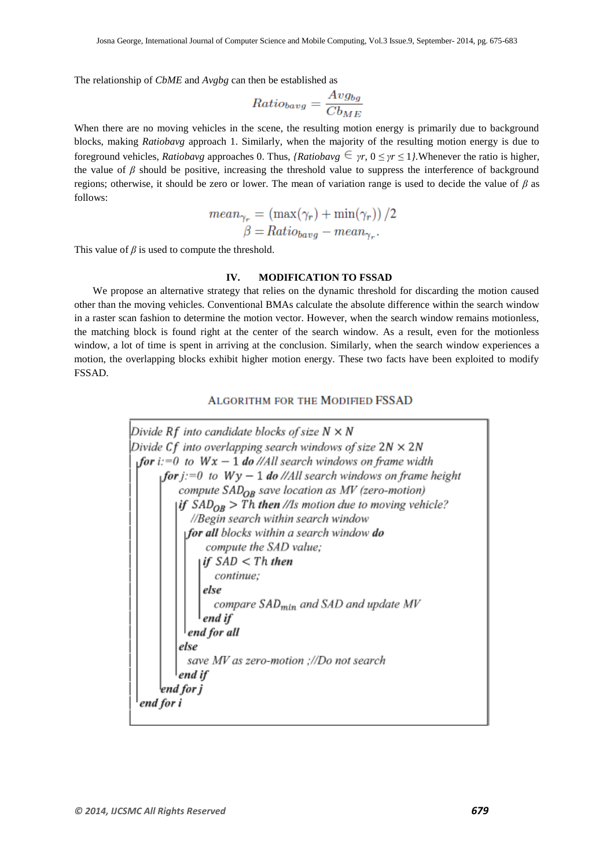The relationship of *CbME* and *Avgbg* can then be established as

$$
Ratio_{bayg} = \frac{Avg_{bg}}{Cb_{ME}}
$$

When there are no moving vehicles in the scene, the resulting motion energy is primarily due to background blocks, making *Ratiobavg* approach 1. Similarly, when the majority of the resulting motion energy is due to foreground vehicles, *Ratiobavg* approaches 0. Thus, *{Ratiobavg*  $\epsilon$  *yr*,  $0 \leq \gamma r \leq 1$ *}*. Whenever the ratio is higher, the value of *β* should be positive, increasing the threshold value to suppress the interference of background regions; otherwise, it should be zero or lower. The mean of variation range is used to decide the value of *β* as follows:

$$
mean_{\gamma_r} = (\max(\gamma_r) + \min(\gamma_r)) / 2
$$

$$
\beta = Ratio_{bayg} - mean_{\gamma_r}.
$$

This value of  $\beta$  is used to compute the threshold.

# **IV. MODIFICATION TO FSSAD**

We propose an alternative strategy that relies on the dynamic threshold for discarding the motion caused other than the moving vehicles. Conventional BMAs calculate the absolute difference within the search window in a raster scan fashion to determine the motion vector. However, when the search window remains motionless, the matching block is found right at the center of the search window. As a result, even for the motionless window, a lot of time is spent in arriving at the conclusion. Similarly, when the search window experiences a motion, the overlapping blocks exhibit higher motion energy. These two facts have been exploited to modify FSSAD.

# **ALGORITHM FOR THE MODIFIED FSSAD**

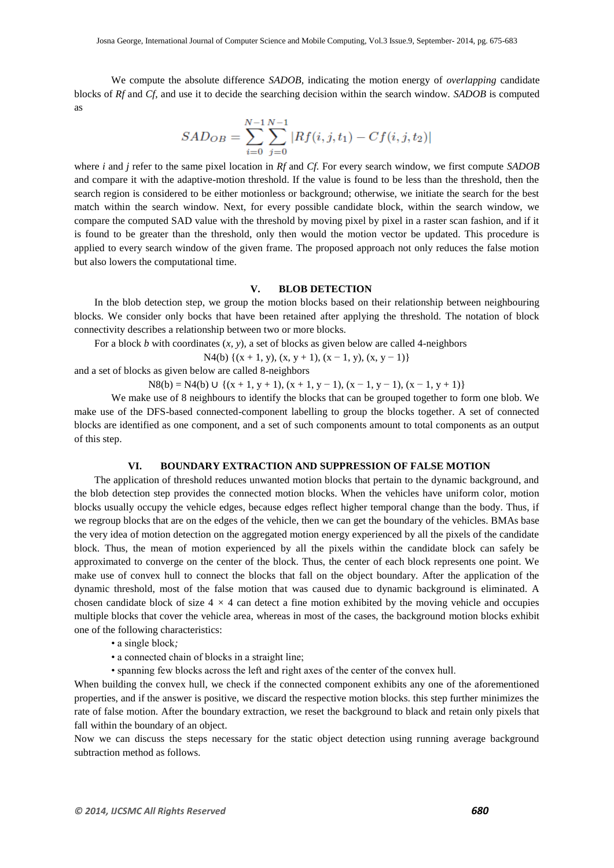We compute the absolute difference *SADOB*, indicating the motion energy of *overlapping* candidate blocks of *Rf* and *Cf*, and use it to decide the searching decision within the search window. *SADOB* is computed as

$$
SAD_{OB} = \sum_{i=0}^{N-1} \sum_{j=0}^{N-1} |Rf(i, j, t_1) - Cf(i, j, t_2)|
$$

where *i* and *j* refer to the same pixel location in *Rf* and *Cf*. For every search window, we first compute *SADOB* and compare it with the adaptive-motion threshold. If the value is found to be less than the threshold, then the search region is considered to be either motionless or background; otherwise, we initiate the search for the best match within the search window. Next, for every possible candidate block, within the search window, we compare the computed SAD value with the threshold by moving pixel by pixel in a raster scan fashion, and if it is found to be greater than the threshold, only then would the motion vector be updated. This procedure is applied to every search window of the given frame. The proposed approach not only reduces the false motion but also lowers the computational time.

## **V. BLOB DETECTION**

In the blob detection step, we group the motion blocks based on their relationship between neighbouring blocks. We consider only bocks that have been retained after applying the threshold. The notation of block connectivity describes a relationship between two or more blocks.

For a block *b* with coordinates (*x, y*), a set of blocks as given below are called 4-neighbors

N4(b)  $\{(x + 1, y), (x, y + 1), (x - 1, y), (x, y - 1)\}\$ 

and a set of blocks as given below are called 8-neighbors

N8(b) = N4(b) ∪ {(x + 1, y + 1), (x + 1, y − 1), (x − 1, y − 1), (x − 1, y + 1)}

We make use of 8 neighbours to identify the blocks that can be grouped together to form one blob. We make use of the DFS-based connected-component labelling to group the blocks together. A set of connected blocks are identified as one component, and a set of such components amount to total components as an output of this step.

# **VI. BOUNDARY EXTRACTION AND SUPPRESSION OF FALSE MOTION**

The application of threshold reduces unwanted motion blocks that pertain to the dynamic background, and the blob detection step provides the connected motion blocks. When the vehicles have uniform color, motion blocks usually occupy the vehicle edges, because edges reflect higher temporal change than the body. Thus, if we regroup blocks that are on the edges of the vehicle, then we can get the boundary of the vehicles. BMAs base the very idea of motion detection on the aggregated motion energy experienced by all the pixels of the candidate block. Thus, the mean of motion experienced by all the pixels within the candidate block can safely be approximated to converge on the center of the block. Thus, the center of each block represents one point. We make use of convex hull to connect the blocks that fall on the object boundary. After the application of the dynamic threshold, most of the false motion that was caused due to dynamic background is eliminated. A chosen candidate block of size  $4 \times 4$  can detect a fine motion exhibited by the moving vehicle and occupies multiple blocks that cover the vehicle area, whereas in most of the cases, the background motion blocks exhibit one of the following characteristics:

- a single block*;*
- a connected chain of blocks in a straight line;
- spanning few blocks across the left and right axes of the center of the convex hull.

When building the convex hull, we check if the connected component exhibits any one of the aforementioned properties, and if the answer is positive, we discard the respective motion blocks. this step further minimizes the rate of false motion. After the boundary extraction, we reset the background to black and retain only pixels that fall within the boundary of an object.

Now we can discuss the steps necessary for the static object detection using running average background subtraction method as follows.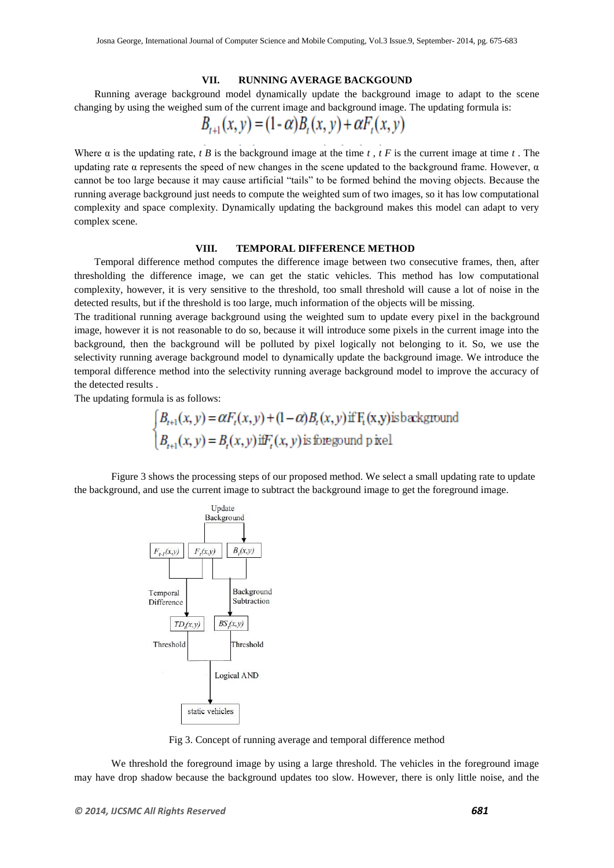#### **VII. RUNNING AVERAGE BACKGOUND**

Running average background model dynamically update the background image to adapt to the scene changing by using the weighed sum of the current image and background image. The updating formula is:

$$
B_{t+1}(x, y) = (1 - \alpha)B_t(x, y) + \alpha F_t(x, y)
$$

Where  $\alpha$  is the updating rate, *t B* is the background image at the time *t*, *t F* is the current image at time *t*. The updating rate  $\alpha$  represents the speed of new changes in the scene updated to the background frame. However,  $\alpha$ cannot be too large because it may cause artificial "tails" to be formed behind the moving objects. Because the running average background just needs to compute the weighted sum of two images, so it has low computational complexity and space complexity. Dynamically updating the background makes this model can adapt to very complex scene.

#### **VIII. TEMPORAL DIFFERENCE METHOD**

Temporal difference method computes the difference image between two consecutive frames, then, after thresholding the difference image, we can get the static vehicles. This method has low computational complexity, however, it is very sensitive to the threshold, too small threshold will cause a lot of noise in the detected results, but if the threshold is too large, much information of the objects will be missing.

The traditional running average background using the weighted sum to update every pixel in the background image, however it is not reasonable to do so, because it will introduce some pixels in the current image into the background, then the background will be polluted by pixel logically not belonging to it. So, we use the selectivity running average background model to dynamically update the background image. We introduce the temporal difference method into the selectivity running average background model to improve the accuracy of the detected results .

The updating formula is as follows:

$$
\begin{cases} B_{t+1}(x, y) = \alpha F_t(x, y) + (1 - \alpha) B_t(x, y) \text{ if } F_t(x, y) \text{ is background} \\ B_{t+1}(x, y) = B_t(x, y) \text{ iff } F_t(x, y) \text{ is frequency and } p \text{ is real} \end{cases}
$$

Figure 3 shows the processing steps of our proposed method. We select a small updating rate to update the background, and use the current image to subtract the background image to get the foreground image.



Fig 3. Concept of running average and temporal difference method

We threshold the foreground image by using a large threshold. The vehicles in the foreground image may have drop shadow because the background updates too slow. However, there is only little noise, and the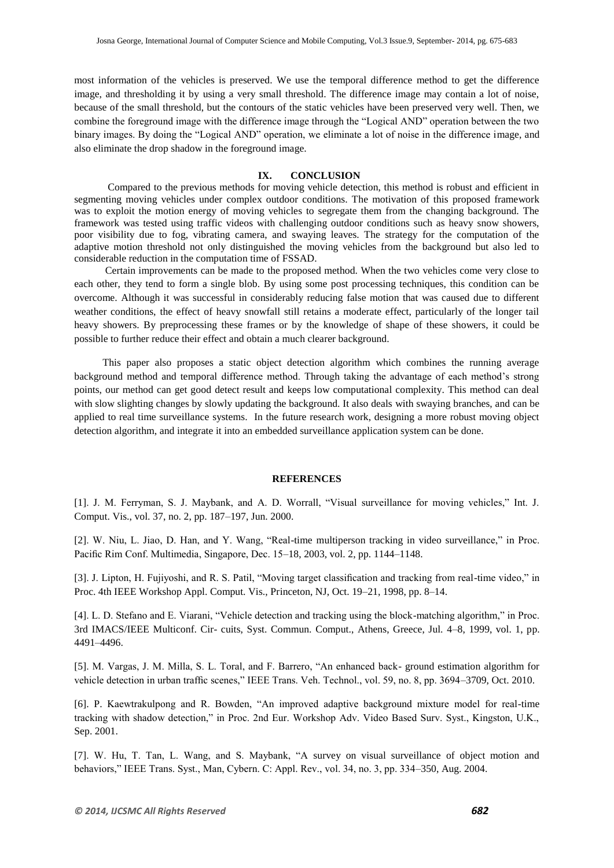most information of the vehicles is preserved. We use the temporal difference method to get the difference image, and thresholding it by using a very small threshold. The difference image may contain a lot of noise, because of the small threshold, but the contours of the static vehicles have been preserved very well. Then, we combine the foreground image with the difference image through the "Logical AND" operation between the two binary images. By doing the "Logical AND" operation, we eliminate a lot of noise in the difference image, and also eliminate the drop shadow in the foreground image.

#### **IX. CONCLUSION**

 Compared to the previous methods for moving vehicle detection, this method is robust and efficient in segmenting moving vehicles under complex outdoor conditions. The motivation of this proposed framework was to exploit the motion energy of moving vehicles to segregate them from the changing background. The framework was tested using traffic videos with challenging outdoor conditions such as heavy snow showers, poor visibility due to fog, vibrating camera, and swaying leaves. The strategy for the computation of the adaptive motion threshold not only distinguished the moving vehicles from the background but also led to considerable reduction in the computation time of FSSAD.

 Certain improvements can be made to the proposed method. When the two vehicles come very close to each other, they tend to form a single blob. By using some post processing techniques, this condition can be overcome. Although it was successful in considerably reducing false motion that was caused due to different weather conditions, the effect of heavy snowfall still retains a moderate effect, particularly of the longer tail heavy showers. By preprocessing these frames or by the knowledge of shape of these showers, it could be possible to further reduce their effect and obtain a much clearer background.

 This paper also proposes a static object detection algorithm which combines the running average background method and temporal difference method. Through taking the advantage of each method's strong points, our method can get good detect result and keeps low computational complexity. This method can deal with slow slighting changes by slowly updating the background. It also deals with swaying branches, and can be applied to real time surveillance systems. In the future research work, designing a more robust moving object detection algorithm, and integrate it into an embedded surveillance application system can be done.

# **REFERENCES**

[1]. J. M. Ferryman, S. J. Maybank, and A. D. Worrall, "Visual surveillance for moving vehicles," Int. J. Comput. Vis., vol. 37, no. 2, pp. 187–197, Jun. 2000.

[2]. W. Niu, L. Jiao, D. Han, and Y. Wang, "Real-time multiperson tracking in video surveillance," in Proc. Pacific Rim Conf. Multimedia, Singapore, Dec. 15–18, 2003, vol. 2, pp. 1144–1148.

[3]. J. Lipton, H. Fujiyoshi, and R. S. Patil, "Moving target classification and tracking from real-time video," in Proc. 4th IEEE Workshop Appl. Comput. Vis., Princeton, NJ, Oct. 19–21, 1998, pp. 8–14.

[4]. L. D. Stefano and E. Viarani, "Vehicle detection and tracking using the block-matching algorithm," in Proc. 3rd IMACS/IEEE Multiconf. Cir- cuits, Syst. Commun. Comput., Athens, Greece, Jul. 4–8, 1999, vol. 1, pp. 4491–4496.

[5]. M. Vargas, J. M. Milla, S. L. Toral, and F. Barrero, "An enhanced back- ground estimation algorithm for vehicle detection in urban traffic scenes," IEEE Trans. Veh. Technol., vol. 59, no. 8, pp. 3694–3709, Oct. 2010.

[6]. P. Kaewtrakulpong and R. Bowden, "An improved adaptive background mixture model for real-time tracking with shadow detection," in Proc. 2nd Eur. Workshop Adv. Video Based Surv. Syst., Kingston, U.K., Sep. 2001.

[7]. W. Hu, T. Tan, L. Wang, and S. Maybank, "A survey on visual surveillance of object motion and behaviors," IEEE Trans. Syst., Man, Cybern. C: Appl. Rev., vol. 34, no. 3, pp. 334–350, Aug. 2004.